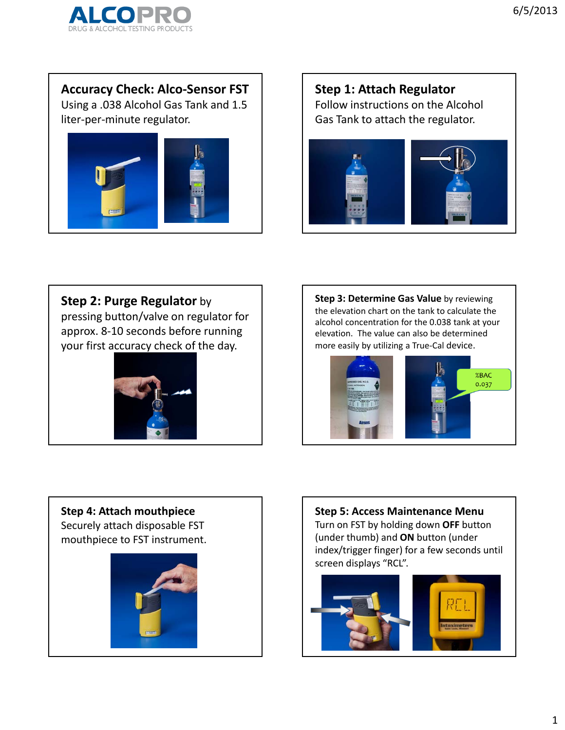

**Accuracy Check: Alco‐Sensor FST**

Using a .038 Alcohol Gas Tank and 1.5 liter‐per‐minute regulator.



**Step 1: Attach Regulator** Follow instructions on the Alcohol Gas Tank to attach the regulator.



**Step 2: Purge Regulator** by

pressing button/valve on regulator for approx. 8‐10 seconds before running your first accuracy check of the day.



**Step 3: Determine Gas Value** by reviewing the elevation chart on the tank to calculate the alcohol concentration for the 0.038 tank at your elevation. The value can also be determined more easily by utilizing a True‐Cal device.



### **Step 4: Attach mouthpiece** Securely attach disposable FST

mouthpiece to FST instrument.



**Step 5: Access Maintenance Menu** Turn on FST by holding down **OFF** button (under thumb) and **ON** button (under index/trigger finger) for a few seconds until screen displays "RCL".

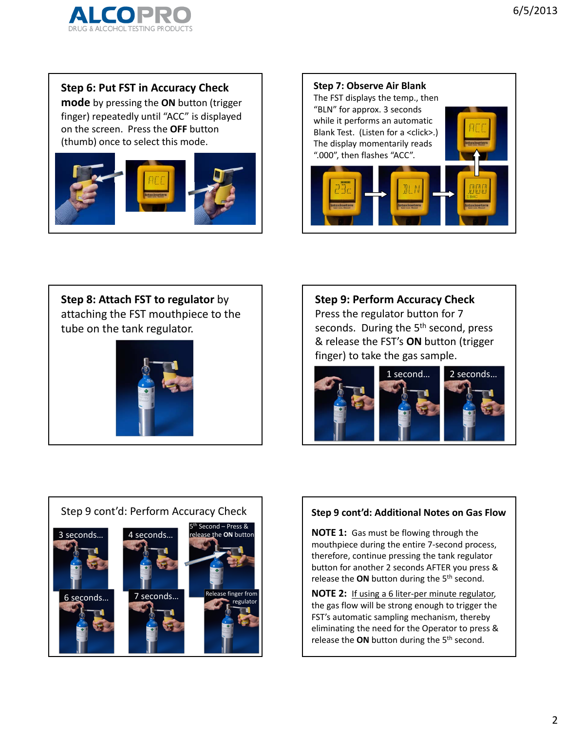

**Step 6: Put FST in Accuracy Check**

**mode** by pressing the **ON** button (trigger finger) repeatedly until "ACC" is displayed on the screen. Press the **OFF** button (thumb) once to select this mode.





**Step 8: Attach FST to regulator** by attaching the FST mouthpiece to the tube on the tank regulator.



**Step 9: Perform Accuracy Check** Press the regulator button for 7 seconds. During the 5<sup>th</sup> second, press & release the FST's **ON** button (trigger finger) to take the gas sample.





### **Step 9 cont'd: Additional Notes on Gas Flow**

**NOTE 1:** Gas must be flowing through the mouthpiece during the entire 7‐second process, therefore, continue pressing the tank regulator button for another 2 seconds AFTER you press & release the **ON** button during the 5th second.

**NOTE 2:** If using a 6 liter‐per minute regulator, the gas flow will be strong enough to trigger the FST's automatic sampling mechanism, thereby eliminating the need for the Operator to press & release the ON button during the 5<sup>th</sup> second.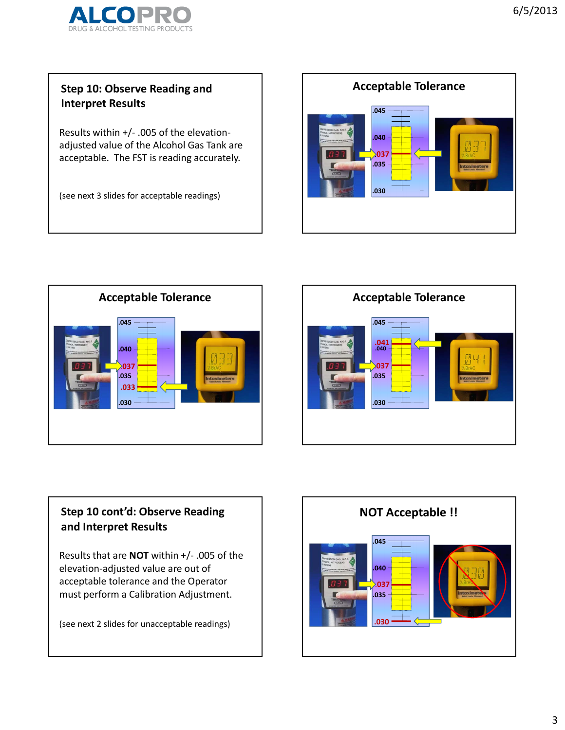

## **Step 10: Observe Reading and Interpret Results**

Results within +/‐ .005 of the elevation‐ adjusted value of the Alcohol Gas Tank are acceptable. The FST is reading accurately.

(see next 3 slides for acceptable readings)







# **Step 10 cont'd: Observe Reading and Interpret Results**

Results that are **NOT** within +/‐ .005 of the elevation‐adjusted value are out of acceptable tolerance and the Operator must perform a Calibration Adjustment.

(see next 2 slides for unacceptable readings)